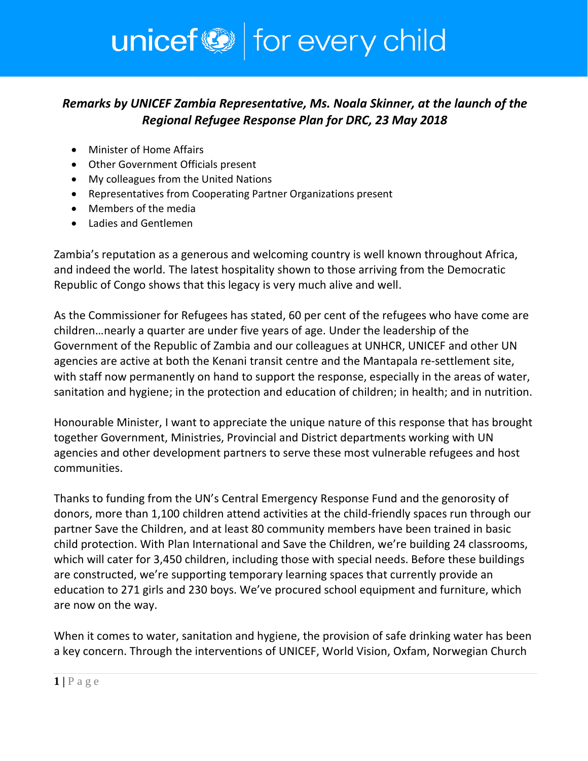## unicef<sup>(2)</sup> for every child

## *Remarks by UNICEF Zambia Representative, Ms. Noala Skinner, at the launch of the Regional Refugee Response Plan for DRC, 23 May 2018*

- Minister of Home Affairs
- Other Government Officials present
- My colleagues from the United Nations
- Representatives from Cooperating Partner Organizations present
- Members of the media
- Ladies and Gentlemen

Zambia's reputation as a generous and welcoming country is well known throughout Africa, and indeed the world. The latest hospitality shown to those arriving from the Democratic Republic of Congo shows that this legacy is very much alive and well.

As the Commissioner for Refugees has stated, 60 per cent of the refugees who have come are children…nearly a quarter are under five years of age. Under the leadership of the Government of the Republic of Zambia and our colleagues at UNHCR, UNICEF and other UN agencies are active at both the Kenani transit centre and the Mantapala re-settlement site, with staff now permanently on hand to support the response, especially in the areas of water, sanitation and hygiene; in the protection and education of children; in health; and in nutrition.

Honourable Minister, I want to appreciate the unique nature of this response that has brought together Government, Ministries, Provincial and District departments working with UN agencies and other development partners to serve these most vulnerable refugees and host communities.

Thanks to funding from the UN's Central Emergency Response Fund and the genorosity of donors, more than 1,100 children attend activities at the child-friendly spaces run through our partner Save the Children, and at least 80 community members have been trained in basic child protection. With Plan International and Save the Children, we're building 24 classrooms, which will cater for 3,450 children, including those with special needs. Before these buildings are constructed, we're supporting temporary learning spaces that currently provide an education to 271 girls and 230 boys. We've procured school equipment and furniture, which are now on the way.

When it comes to water, sanitation and hygiene, the provision of safe drinking water has been a key concern. Through the interventions of UNICEF, World Vision, Oxfam, Norwegian Church